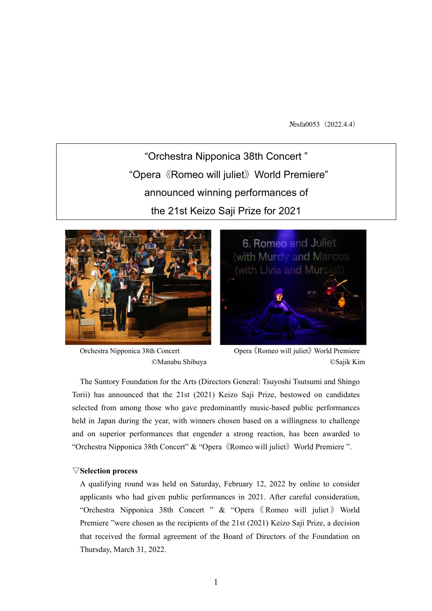Nosfa0053 (2022.4.4)

"Orchestra Nipponica 38th Concert " "Opera《Romeo will juliet》World Premiere" announced winning performances of the 21st Keizo Saji Prize for 2021





Orchestra Nipponica 38th Concert Opera《Romeo will juliet》World Premiere ©Manabu Shibuya ©Sajik Kim

The Suntory Foundation for the Arts (Directors General: Tsuyoshi Tsutsumi and Shingo Torii) has announced that the 21st (2021) Keizo Saji Prize, bestowed on candidates selected from among those who gave predominantly music-based public performances held in Japan during the year, with winners chosen based on a willingness to challenge and on superior performances that engender a strong reaction, has been awarded to "Orchestra Nipponica 38th Concert" & "Opera《Romeo will juliet》World Premiere ".

# ▽**Selection process**

A qualifying round was held on Saturday, February 12, 2022 by online to consider applicants who had given public performances in 2021. After careful consideration, "Orchestra Nipponica 38th Concert " & "Opera 《 Romeo will juliet 》 World Premiere "were chosen as the recipients of the 21st (2021) Keizo Saji Prize, a decision that received the formal agreement of the Board of Directors of the Foundation on Thursday, March 31, 2022.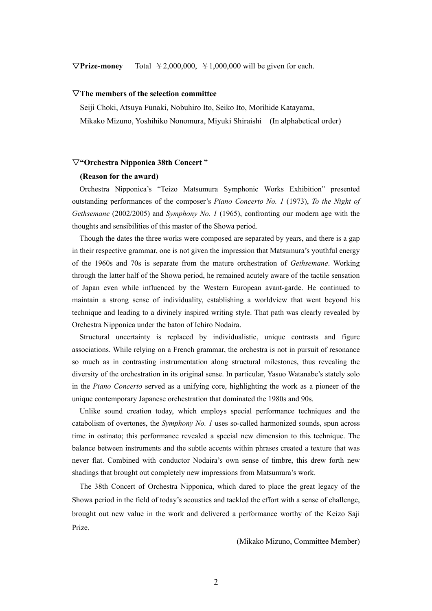$\nabla$ **Prize-money** Total  $\yen$  2,000,000,  $\yen$  1,000,000 will be given for each.

### ▽**The members of the selection committee**

Seiji Choki, Atsuya Funaki, Nobuhiro Ito, Seiko Ito, Morihide Katayama,

Mikako Mizuno, Yoshihiko Nonomura, Miyuki Shiraishi (In alphabetical order)

### ▽**"Orchestra Nipponica 38th Concert "**

#### **(Reason for the award)**

Orchestra Nipponica's "Teizo Matsumura Symphonic Works Exhibition" presented outstanding performances of the composer's *Piano Concerto No. 1* (1973), *To the Night of Gethsemane* (2002/2005) and *Symphony No. 1* (1965), confronting our modern age with the thoughts and sensibilities of this master of the Showa period.

Though the dates the three works were composed are separated by years, and there is a gap in their respective grammar, one is not given the impression that Matsumura's youthful energy of the 1960s and 70s is separate from the mature orchestration of *Gethsemane*. Working through the latter half of the Showa period, he remained acutely aware of the tactile sensation of Japan even while influenced by the Western European avant-garde. He continued to maintain a strong sense of individuality, establishing a worldview that went beyond his technique and leading to a divinely inspired writing style. That path was clearly revealed by Orchestra Nipponica under the baton of Ichiro Nodaira.

Structural uncertainty is replaced by individualistic, unique contrasts and figure associations. While relying on a French grammar, the orchestra is not in pursuit of resonance so much as in contrasting instrumentation along structural milestones, thus revealing the diversity of the orchestration in its original sense. In particular, Yasuo Watanabe's stately solo in the *Piano Concerto* served as a unifying core, highlighting the work as a pioneer of the unique contemporary Japanese orchestration that dominated the 1980s and 90s.

Unlike sound creation today, which employs special performance techniques and the catabolism of overtones, the *Symphony No. 1* uses so-called harmonized sounds, spun across time in ostinato; this performance revealed a special new dimension to this technique. The balance between instruments and the subtle accents within phrases created a texture that was never flat. Combined with conductor Nodaira's own sense of timbre, this drew forth new shadings that brought out completely new impressions from Matsumura's work.

The 38th Concert of Orchestra Nipponica, which dared to place the great legacy of the Showa period in the field of today's acoustics and tackled the effort with a sense of challenge, brought out new value in the work and delivered a performance worthy of the Keizo Saji Prize.

(Mikako Mizuno, Committee Member)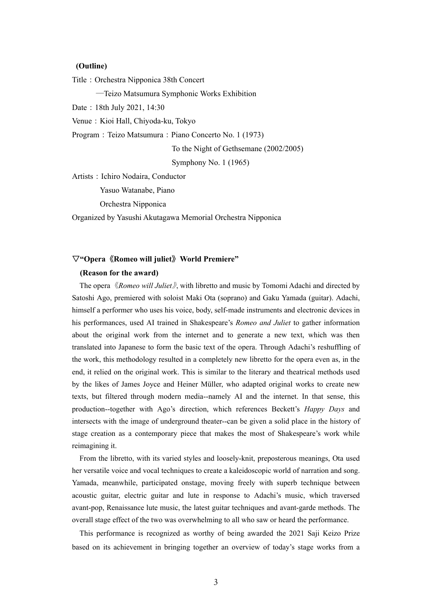## **(Outline)**

Title: Orchestra Nipponica 38th Concert

―Teizo Matsumura Symphonic Works Exhibition

Date:18th July 2021, 14:30

Venue: Kioi Hall, Chiyoda-ku, Tokyo

Program: Teizo Matsumura: Piano Concerto No. 1 (1973)

To the Night of Gethsemane (2002/2005)

Symphony No. 1 (1965)

Artists: Ichiro Nodaira, Conductor

Yasuo Watanabe, Piano

Orchestra Nipponica

Organized by Yasushi Akutagawa Memorial Orchestra Nipponica

# ▽**"Opera**《**Romeo will juliet**》**World Premiere"**

### **(Reason for the award)**

The opera 《*Romeo will Juliet*》, with libretto and music by Tomomi Adachi and directed by Satoshi Ago, premiered with soloist Maki Ota (soprano) and Gaku Yamada (guitar). Adachi, himself a performer who uses his voice, body, self-made instruments and electronic devices in his performances, used AI trained in Shakespeare's *Romeo and Juliet* to gather information about the original work from the internet and to generate a new text, which was then translated into Japanese to form the basic text of the opera. Through Adachi's reshuffling of the work, this methodology resulted in a completely new libretto for the opera even as, in the end, it relied on the original work. This is similar to the literary and theatrical methods used by the likes of James Joyce and Heiner Müller, who adapted original works to create new texts, but filtered through modern media--namely AI and the internet. In that sense, this production--together with Ago's direction, which references Beckett's *Happy Days* and intersects with the image of underground theater--can be given a solid place in the history of stage creation as a contemporary piece that makes the most of Shakespeare's work while reimagining it.

From the libretto, with its varied styles and loosely-knit, preposterous meanings, Ota used her versatile voice and vocal techniques to create a kaleidoscopic world of narration and song. Yamada, meanwhile, participated onstage, moving freely with superb technique between acoustic guitar, electric guitar and lute in response to Adachi's music, which traversed avant-pop, Renaissance lute music, the latest guitar techniques and avant-garde methods. The overall stage effect of the two was overwhelming to all who saw or heard the performance.

This performance is recognized as worthy of being awarded the 2021 Saji Keizo Prize based on its achievement in bringing together an overview of today's stage works from a